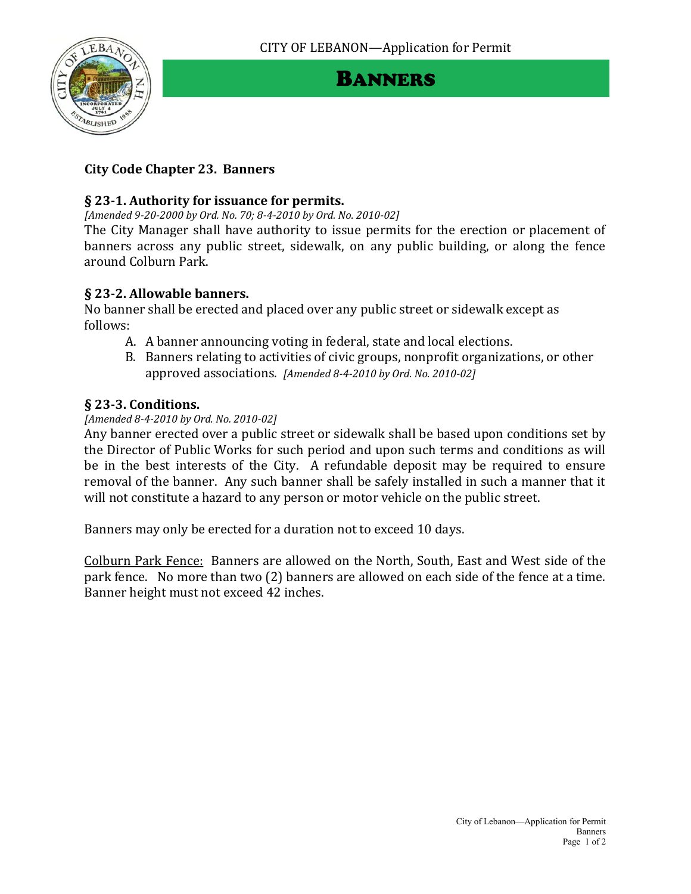

# BANNERS

## **City Code Chapter 23. Banners**

#### **§ 23-1. Authority for issuance for permits.**

*[Amended 9-20-2000 by Ord. No. 70; 8-4-2010 by Ord. No. 2010-02]*

The City Manager shall have authority to issue permits for the erection or placement of banners across any public street, sidewalk, on any public building, or along the fence around Colburn Park.

### **§ 23-2. Allowable banners.**

No banner shall be erected and placed over any public street or sidewalk except as follows:

- A. A banner announcing voting in federal, state and local elections.
- B. Banners relating to activities of civic groups, nonprofit organizations, or other approved associations. *[Amended 8-4-2010 by Ord. No. 2010-02]*

### **§ 23-3. Conditions.**

#### *[Amended 8-4-2010 by Ord. No. 2010-02]*

Any banner erected over a public street or sidewalk shall be based upon conditions set by the Director of Public Works for such period and upon such terms and conditions as will be in the best interests of the City. A refundable deposit may be required to ensure removal of the banner. Any such banner shall be safely installed in such a manner that it will not constitute a hazard to any person or motor vehicle on the public street.

Banners may only be erected for a duration not to exceed 10 days.

Colburn Park Fence: Banners are allowed on the North, South, East and West side of the park fence. No more than two (2) banners are allowed on each side of the fence at a time. Banner height must not exceed 42 inches.